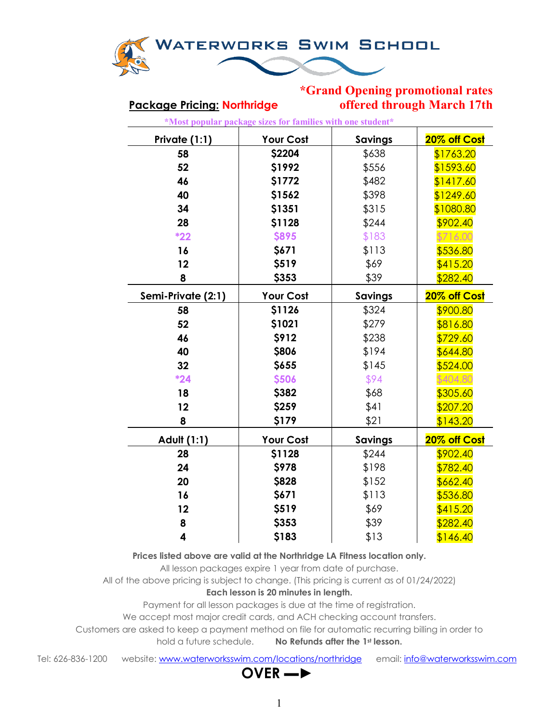

## **\*Grand Opening promotional rates Package Pricing: Northridge offered through March 17th**

| *Most popular package sizes for families with one student* |                  |                |              |  |
|------------------------------------------------------------|------------------|----------------|--------------|--|
| Private (1:1)                                              | <b>Your Cost</b> | <b>Savings</b> | 20% off Cost |  |
| 58                                                         | \$2204           | \$638          | \$1763.20    |  |
| 52                                                         | \$1992           | \$556          | \$1593.60    |  |
| 46                                                         | \$1772           | \$482          | \$1417.60    |  |
| 40                                                         | \$1562           | \$398          | \$1249.60    |  |
| 34                                                         | \$1351           | \$315          | \$1080.80    |  |
| 28                                                         | \$1128           | \$244          | \$902.40     |  |
| $*22$                                                      | <b>\$895</b>     | \$183          | \$716.00     |  |
| 16                                                         | \$671            | \$113          | \$536.80     |  |
| 12                                                         | \$519            | \$69           | \$415.20     |  |
| 8                                                          | \$353            | \$39           | \$282.40     |  |
| Semi-Private (2:1)                                         | <b>Your Cost</b> | <b>Savings</b> | 20% off Cost |  |
| 58                                                         | \$1126           | \$324          | \$900.80     |  |
| 52                                                         | \$1021           | \$279          | \$816.80     |  |
| 46                                                         | <b>\$912</b>     | \$238          | \$729.60     |  |
| 40                                                         | \$806            | \$194          | \$644.80     |  |
| 32                                                         | \$655            | \$145          | \$524.00     |  |
| $*24$                                                      | \$506            | \$94           | \$404.80     |  |
| 18                                                         | \$382            | \$68           | \$305.60     |  |
| 12                                                         | \$259            | \$41           | \$207.20     |  |
| 8                                                          | \$179            | \$21           | \$143.20     |  |
| Adult (1:1)                                                | Your Cost        | <b>Savings</b> | 20% off Cost |  |
| 28                                                         | \$1128           | \$244          | \$902.40     |  |
| 24                                                         | \$978            | \$198          | \$782.40     |  |
| 20                                                         | \$828            | \$152          | \$662.40     |  |
| 16                                                         | \$671            | \$113          | \$536.80     |  |
| 12                                                         | \$519            | \$69           | \$415.20     |  |
| 8                                                          | \$353            | \$39           | \$282.40     |  |
| 4                                                          | \$183            | \$13           | \$146.40     |  |

**Prices listed above are valid at the Northridge LA Fitness location only.**

All lesson packages expire 1 year from date of purchase.

All of the above pricing is subject to change. (This pricing is current as of 01/24/2022)

### **Each lesson is 20 minutes in length.**

Payment for all lesson packages is due at the time of registration.

We accept most major credit cards, and ACH checking account transfers.

Customers are asked to keep a payment method on file for automatic recurring billing in order to

hold a future schedule. **No Refunds after the 1st lesson.**

Tel: 626-836-1200 website: [www.waterworksswim.com/locations/northridge](http://www.waterworksswim.com/locations/northridge) email: [info@waterworksswim.com](mailto:info@waterworksswim.com)